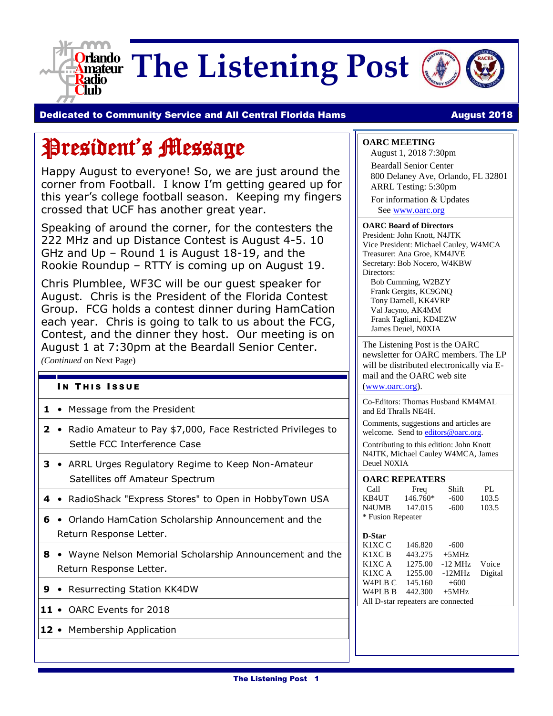

**Orlando** The Listening Post



### Dedicated to Community Service and All Central Florida Hams **August 2018**

## President's Message

Happy August to everyone! So, we are just around the corner from Football. I know I'm getting geared up for this year's college football season. Keeping my fingers crossed that UCF has another great year.

Speaking of around the corner, for the contesters the 222 MHz and up Distance Contest is August 4-5. 10 GHz and Up – Round 1 is August 18-19, and the Rookie Roundup – RTTY is coming up on August 19.

Chris Plumblee, WF3C will be our guest speaker for August. Chris is the President of the Florida Contest Group. FCG holds a contest dinner during HamCation each year. Chris is going to talk to us about the FCG, Contest, and the dinner they host. Our meeting is on August 1 at 7:30pm at the Beardall Senior Center. *(Continued* on Next Page)

### **IN THIS ISSUE**

- **1** Message from the President
- **2** Radio Amateur to Pay \$7,000, Face Restricted Privileges to Settle FCC Interference Case
- **3** ARRL Urges Regulatory Regime to Keep Non-Amateur Satellites off Amateur Spectrum
- **4** RadioShack "Express Stores" to Open in HobbyTown USA
- **6** Orlando HamCation Scholarship Announcement and the Return Response Letter.
- **8** Wayne Nelson Memorial Scholarship Announcement and the Return Response Letter.
- **9** Resurrecting Station KK4DW
- **11** OARC Events for 2018
- 12 Membership Application

### **OARC MEETING**

August 1, 2018 7:30pm Beardall Senior Center 800 Delaney Ave, Orlando, FL 32801 ARRL Testing: 5:30pm For information & Updates See [www.oarc.org](http://www.oarc.org/)

#### **OARC Board of Directors**

President: John Knott, N4JTK Vice President: Michael Cauley, W4MCA Treasurer: Ana Groe, KM4JVE Secretary: Bob Nocero, W4KBW Directors:

Bob Cumming, W2BZY Frank Gergits, KC9GNQ Tony Darnell, KK4VRP Val Jacyno, AK4MM Frank Tagliani, KD4EZW James Deuel, N0XIA

The Listening Post is the OARC newsletter for OARC members. The LP will be distributed electronically via Email and the OARC web site [\(www.oarc.org\)](http://www.oarc.org/).

Co-Editors: Thomas Husband KM4MAL and Ed Thralls NE4H.

Comments, suggestions and articles are welcome. Send t[o editors@oarc.org.](mailto:editors@oarc.org)

Contributing to this edition: John Knott N4JTK, Michael Cauley W4MCA, James Deuel N0XIA

### **OARC REPEATERS**

| Call              | Freq     | Shift  | PL.   |
|-------------------|----------|--------|-------|
| KB4UT             | 146.760* | $-600$ | 103.5 |
| N4UMB             | 147.015  | -600   | 103.5 |
| * Fusion Repeater |          |        |       |

|  | ız |  |
|--|----|--|
|  |    |  |

| K1XC C                             | 146.820         | $-600$                 |  |
|------------------------------------|-----------------|------------------------|--|
| K1XC B                             |                 | $443.275 +5MHz$        |  |
| K1XC A                             |                 | 1275.00 -12 MHz Voice  |  |
| K1XC A                             |                 | 1255.00 -12MHz Digital |  |
| W4PLB C                            | $145.160 + 600$ |                        |  |
| W4PLB B                            | $442.300 +5MHz$ |                        |  |
| All D-star repeaters are connected |                 |                        |  |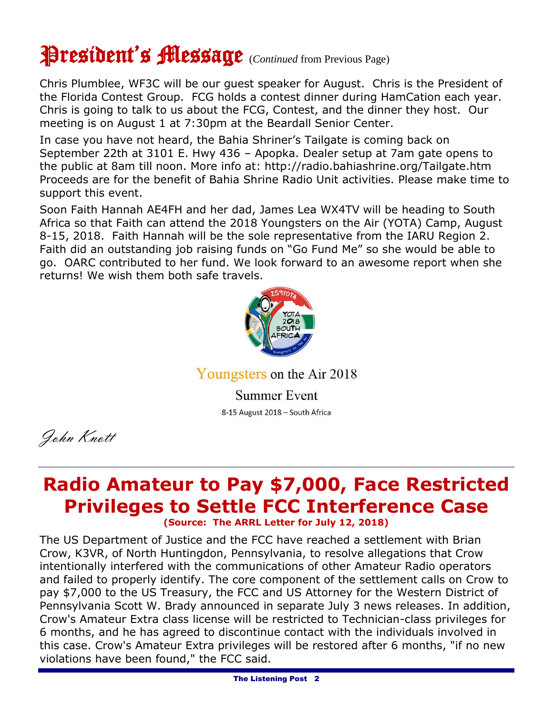# President's Message (*Continued* from Previous Page)

Chris Plumblee, WF3C will be our guest speaker for August. Chris is the President of the Florida Contest Group. FCG holds a contest dinner during HamCation each year. Chris is going to talk to us about the FCG, Contest, and the dinner they host. Our meeting is on August 1 at 7:30pm at the Beardall Senior Center.

In case you have not heard, the Bahia Shriner's Tailgate is coming back on September 22th at 3101 E. Hwy 436 – Apopka. Dealer setup at 7am gate opens to the public at 8am till noon. More info at: http://radio.bahiashrine.org/Tailgate.htm Proceeds are for the benefit of Bahia Shrine Radio Unit activities. Please make time to support this event.

Soon Faith Hannah AE4FH and her dad, James Lea WX4TV will be heading to South Africa so that Faith can attend the 2018 Youngsters on the Air (YOTA) Camp, August 8-15, 2018. Faith Hannah will be the sole representative from the IARU Region 2. Faith did an outstanding job raising funds on "Go Fund Me" so she would be able to go. OARC contributed to her fund. We look forward to an awesome report when she returns! We wish them both safe travels.



Youngsters on the Air 2018

**Summer Event** 8-15 August 2018 - South Africa

John Knott

### **Radio Amateur to Pay \$7,000, Face Restricted Privileges to Settle FCC Interference Case (Source: The ARRL Letter for July 12, 2018)**

The US Department of Justice and the FCC have reached a settlement with Brian Crow, K3VR, of North Huntingdon, Pennsylvania, to resolve allegations that Crow intentionally interfered with the communications of other Amateur Radio operators and failed to properly identify. The core component of the settlement calls on Crow to pay \$7,000 to the US Treasury, the FCC and US Attorney for the Western District of Pennsylvania Scott W. Brady announced in separate July 3 news releases. In addition, Crow's Amateur Extra class license will be restricted to Technician-class privileges for 6 months, and he has agreed to discontinue contact with the individuals involved in this case. Crow's Amateur Extra privileges will be restored after 6 months, "if no new violations have been found," the FCC said.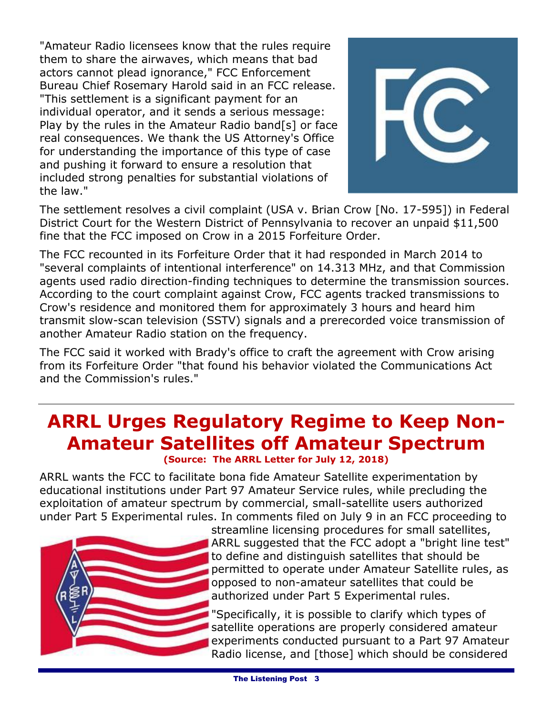"Amateur Radio licensees know that the rules require them to share the airwaves, which means that bad actors cannot plead ignorance," FCC Enforcement Bureau Chief Rosemary Harold said in an FCC release. "This settlement is a significant payment for an individual operator, and it sends a serious message: Play by the rules in the Amateur Radio band[s] or face real consequences. We thank the US Attorney's Office for understanding the importance of this type of case and pushing it forward to ensure a resolution that included strong penalties for substantial violations of the law."



The settlement resolves a civil complaint (USA v. Brian Crow [No. 17-595]) in Federal District Court for the Western District of Pennsylvania to recover an unpaid \$11,500 fine that the FCC imposed on Crow in a 2015 Forfeiture Order.

The FCC recounted in its Forfeiture Order that it had responded in March 2014 to "several complaints of intentional interference" on 14.313 MHz, and that Commission agents used radio direction-finding techniques to determine the transmission sources. According to the court complaint against Crow, FCC agents tracked transmissions to Crow's residence and monitored them for approximately 3 hours and heard him transmit slow-scan television (SSTV) signals and a prerecorded voice transmission of another Amateur Radio station on the frequency.

The FCC said it worked with Brady's office to craft the agreement with Crow arising from its Forfeiture Order "that found his behavior violated the Communications Act and the Commission's rules."

## **ARRL Urges Regulatory Regime to Keep Non-Amateur Satellites off Amateur Spectrum (Source: The ARRL Letter for July 12, 2018)**

ARRL wants the FCC to facilitate bona fide Amateur Satellite experimentation by educational institutions under Part 97 Amateur Service rules, while precluding the exploitation of amateur spectrum by commercial, small-satellite users authorized under Part 5 Experimental rules. In comments filed on July 9 in an FCC proceeding to



streamline licensing procedures for small satellites, ARRL suggested that the FCC adopt a "bright line test" to define and distinguish satellites that should be permitted to operate under Amateur Satellite rules, as opposed to non-amateur satellites that could be authorized under Part 5 Experimental rules.

"Specifically, it is possible to clarify which types of satellite operations are properly considered amateur experiments conducted pursuant to a Part 97 Amateur Radio license, and [those] which should be considered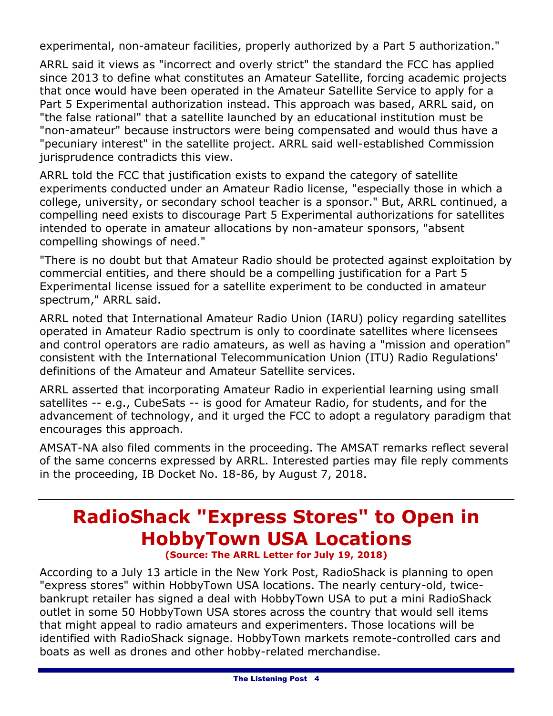experimental, non-amateur facilities, properly authorized by a Part 5 authorization."

ARRL said it views as "incorrect and overly strict" the standard the FCC has applied since 2013 to define what constitutes an Amateur Satellite, forcing academic projects that once would have been operated in the Amateur Satellite Service to apply for a Part 5 Experimental authorization instead. This approach was based, ARRL said, on "the false rational" that a satellite launched by an educational institution must be "non-amateur" because instructors were being compensated and would thus have a "pecuniary interest" in the satellite project. ARRL said well-established Commission jurisprudence contradicts this view.

ARRL told the FCC that justification exists to expand the category of satellite experiments conducted under an Amateur Radio license, "especially those in which a college, university, or secondary school teacher is a sponsor." But, ARRL continued, a compelling need exists to discourage Part 5 Experimental authorizations for satellites intended to operate in amateur allocations by non-amateur sponsors, "absent compelling showings of need."

"There is no doubt but that Amateur Radio should be protected against exploitation by commercial entities, and there should be a compelling justification for a Part 5 Experimental license issued for a satellite experiment to be conducted in amateur spectrum," ARRL said.

ARRL noted that International Amateur Radio Union (IARU) policy regarding satellites operated in Amateur Radio spectrum is only to coordinate satellites where licensees and control operators are radio amateurs, as well as having a "mission and operation" consistent with the International Telecommunication Union (ITU) Radio Regulations' definitions of the Amateur and Amateur Satellite services.

ARRL asserted that incorporating Amateur Radio in experiential learning using small satellites -- e.g., CubeSats -- is good for Amateur Radio, for students, and for the advancement of technology, and it urged the FCC to adopt a regulatory paradigm that encourages this approach.

AMSAT-NA also filed comments in the proceeding. The AMSAT remarks reflect several of the same concerns expressed by ARRL. Interested parties may file reply comments in the proceeding, IB Docket No. 18-86, by August 7, 2018.

# **RadioShack "Express Stores" to Open in HobbyTown USA Locations**

**(Source: The ARRL Letter for July 19, 2018)**

According to a July 13 article in the New York Post, RadioShack is planning to open "express stores" within HobbyTown USA locations. The nearly century-old, twicebankrupt retailer has signed a deal with HobbyTown USA to put a mini RadioShack outlet in some 50 HobbyTown USA stores across the country that would sell items that might appeal to radio amateurs and experimenters. Those locations will be identified with RadioShack signage. HobbyTown markets remote-controlled cars and boats as well as drones and other hobby-related merchandise.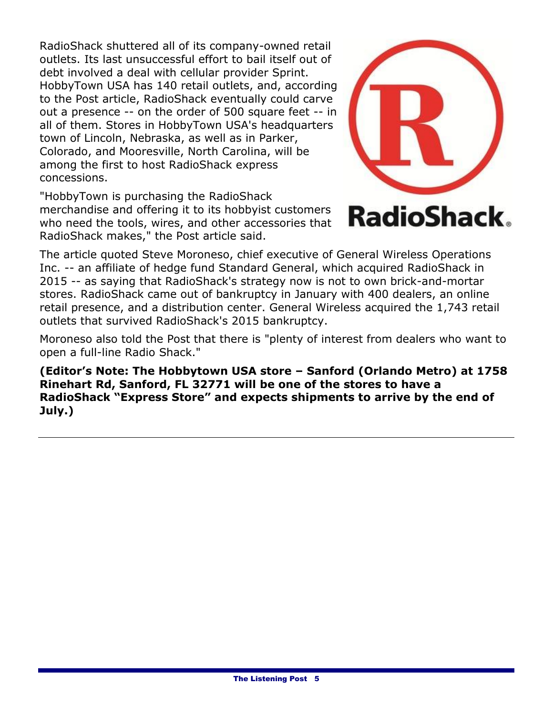RadioShack shuttered all of its company-owned retail outlets. Its last unsuccessful effort to bail itself out of debt involved a deal with cellular provider Sprint. HobbyTown USA has 140 retail outlets, and, according to the Post article, RadioShack eventually could carve out a presence -- on the order of 500 square feet -- in all of them. Stores in HobbyTown USA's headquarters town of Lincoln, Nebraska, as well as in Parker, Colorado, and Mooresville, North Carolina, will be among the first to host RadioShack express concessions.

"HobbyTown is purchasing the RadioShack merchandise and offering it to its hobbyist customers who need the tools, wires, and other accessories that RadioShack makes," the Post article said.



**RadioShack.** 

### The article quoted Steve Moroneso, chief executive of General Wireless Operations Inc. -- an affiliate of hedge fund Standard General, which acquired RadioShack in 2015 -- as saying that RadioShack's strategy now is not to own brick-and-mortar stores. RadioShack came out of bankruptcy in January with 400 dealers, an online retail presence, and a distribution center. General Wireless acquired the 1,743 retail outlets that survived RadioShack's 2015 bankruptcy.

Moroneso also told the Post that there is "plenty of interest from dealers who want to open a full-line Radio Shack."

**(Editor's Note: The Hobbytown USA store – Sanford (Orlando Metro) at 1758 Rinehart Rd, Sanford, FL 32771 will be one of the stores to have a RadioShack "Express Store" and expects shipments to arrive by the end of July.)**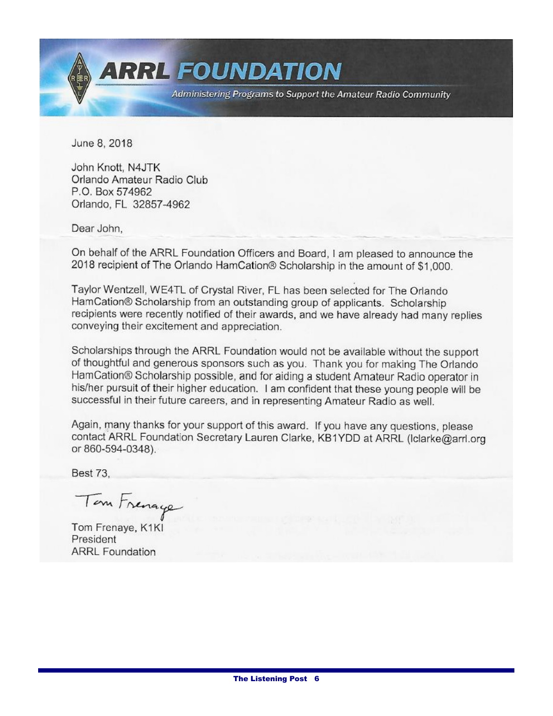

June 8, 2018

John Knott, N4JTK Orlando Amateur Radio Club P.O. Box 574962 Orlando, FL 32857-4962

Dear John.

On behalf of the ARRL Foundation Officers and Board, I am pleased to announce the 2018 recipient of The Orlando HamCation® Scholarship in the amount of \$1,000.

Taylor Wentzell, WE4TL of Crystal River, FL has been selected for The Orlando HamCation® Scholarship from an outstanding group of applicants. Scholarship recipients were recently notified of their awards, and we have already had many replies conveying their excitement and appreciation.

Scholarships through the ARRL Foundation would not be available without the support of thoughtful and generous sponsors such as you. Thank you for making The Orlando HamCation® Scholarship possible, and for aiding a student Amateur Radio operator in his/her pursuit of their higher education. I am confident that these young people will be successful in their future careers, and in representing Amateur Radio as well.

Again, many thanks for your support of this award. If you have any questions, please contact ARRL Foundation Secretary Lauren Clarke, KB1YDD at ARRL (Iclarke@arrl.org or 860-594-0348).

Best 73.

Tom Frenage

Tom Frenaye, K1KI President **ARRL Foundation**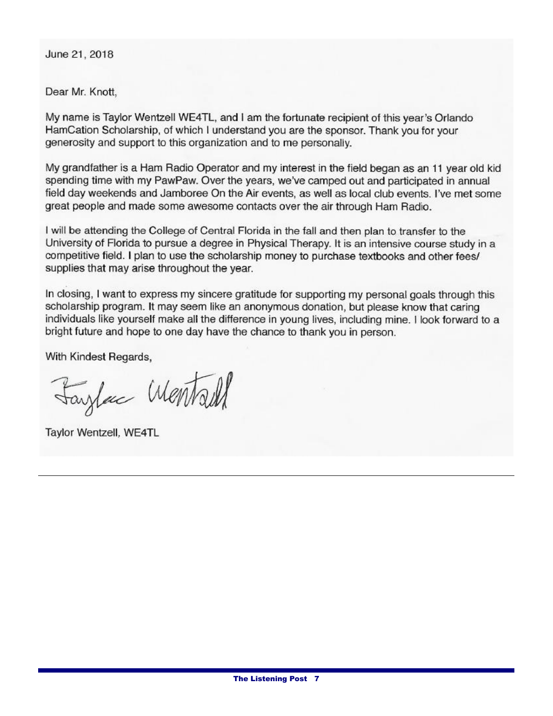June 21, 2018

Dear Mr. Knott.

My name is Taylor Wentzell WE4TL, and I am the fortunate recipient of this year's Orlando HamCation Scholarship, of which I understand you are the sponsor. Thank you for your generosity and support to this organization and to me personally.

My grandfather is a Ham Radio Operator and my interest in the field began as an 11 year old kid spending time with my PawPaw. Over the years, we've camped out and participated in annual field day weekends and Jamboree On the Air events, as well as local club events. I've met some great people and made some awesome contacts over the air through Ham Radio.

I will be attending the College of Central Florida in the fall and then plan to transfer to the University of Florida to pursue a degree in Physical Therapy. It is an intensive course study in a competitive field. I plan to use the scholarship money to purchase textbooks and other fees/ supplies that may arise throughout the year.

In closing, I want to express my sincere gratitude for supporting my personal goals through this scholarship program. It may seem like an anonymous donation, but please know that caring individuals like yourself make all the difference in young lives, including mine. I look forward to a bright future and hope to one day have the chance to thank you in person.

With Kindest Regards,

Faylor Mentall

Taylor Wentzell, WE4TL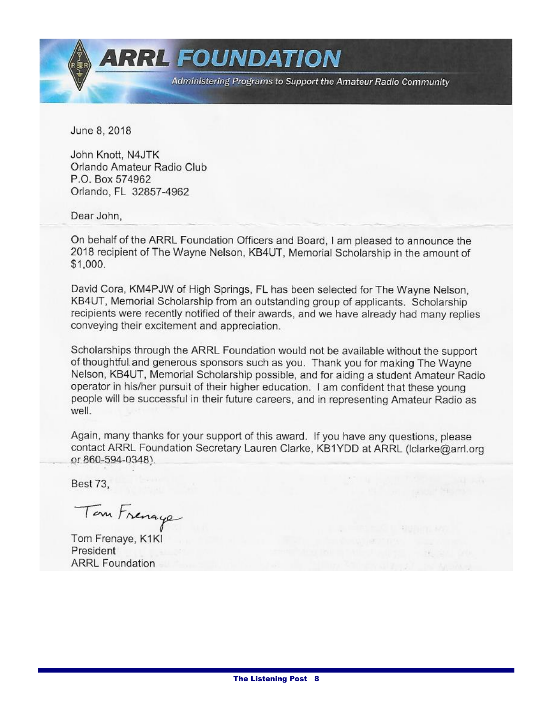

June 8, 2018

John Knott, N4JTK Orlando Amateur Radio Club P.O. Box 574962 Orlando, FL 32857-4962

Dear John.

On behalf of the ARRL Foundation Officers and Board, I am pleased to announce the 2018 recipient of The Wayne Nelson, KB4UT, Memorial Scholarship in the amount of \$1,000.

David Cora, KM4PJW of High Springs, FL has been selected for The Wayne Nelson. KB4UT, Memorial Scholarship from an outstanding group of applicants. Scholarship recipients were recently notified of their awards, and we have already had many replies conveying their excitement and appreciation.

Scholarships through the ARRL Foundation would not be available without the support of thoughtful and generous sponsors such as you. Thank you for making The Wayne Nelson, KB4UT, Memorial Scholarship possible, and for aiding a student Amateur Radio operator in his/her pursuit of their higher education. I am confident that these young people will be successful in their future careers, and in representing Amateur Radio as well.

Again, many thanks for your support of this award. If you have any questions, please contact ARRL Foundation Secretary Lauren Clarke, KB1YDD at ARRL (Iclarke@arrl.org or 860-594-0348).

Best 73,

Tom Frenage

Tom Frenaye, K1KI President **ARRL Foundation**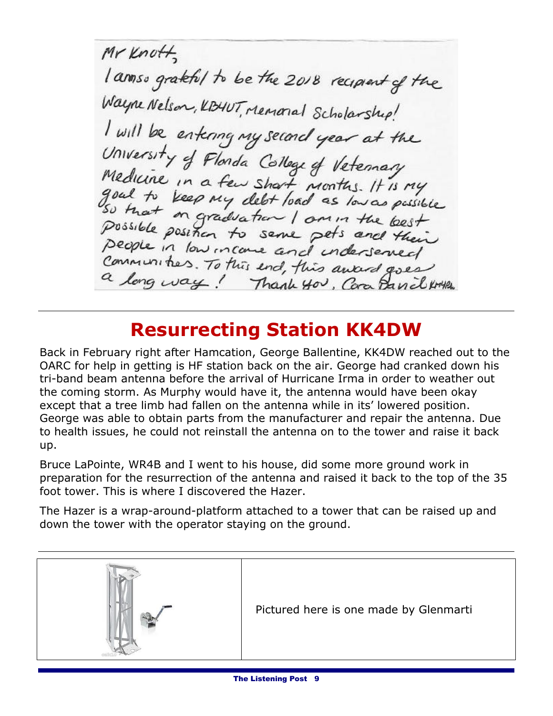Mr Knott larmso grateful to be the 2018 recipient of the Wayne Nelson, KB4UT, Memorial Scholarship! I will be entering my second year at the University of Florda College of Vetermary Medicine in a few shart months. It is my<br>goal to keep my debt load as low as possible<br>so that on graduation I comm the best<br>possible position to seme pets and their<br>people in low income and undersemed people in low income and undersened Communities. To this end, this award goes a long way! Thank you, Cara Barrel Kr44

## **Resurrecting Station KK4DW**

Back in February right after Hamcation, George Ballentine, KK4DW reached out to the OARC for help in getting is HF station back on the air. George had cranked down his tri-band beam antenna before the arrival of Hurricane Irma in order to weather out the coming storm. As Murphy would have it, the antenna would have been okay except that a tree limb had fallen on the antenna while in its' lowered position. George was able to obtain parts from the manufacturer and repair the antenna. Due to health issues, he could not reinstall the antenna on to the tower and raise it back up.

Bruce LaPointe, WR4B and I went to his house, did some more ground work in preparation for the resurrection of the antenna and raised it back to the top of the 35 foot tower. This is where I discovered the Hazer.

The Hazer is a wrap-around-platform attached to a tower that can be raised up and down the tower with the operator staying on the ground.

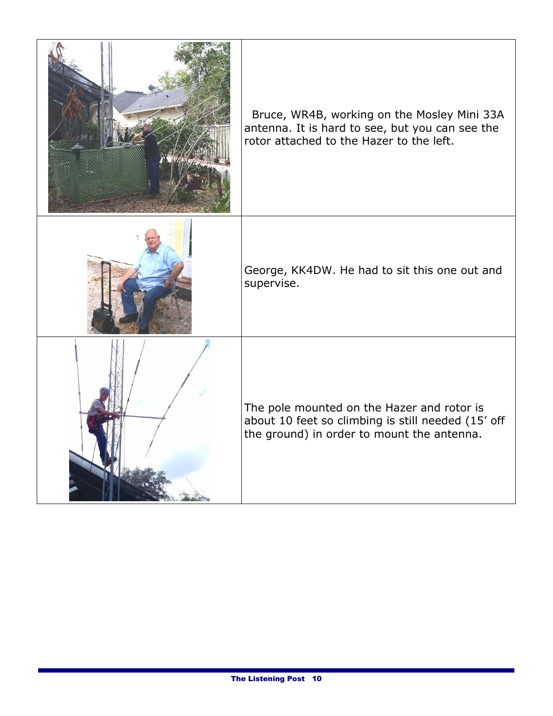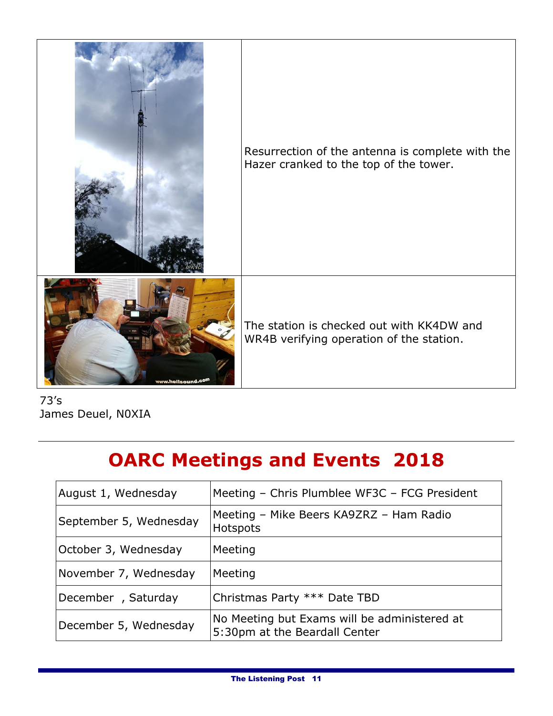

73's James Deuel, N0XIA

## **OARC Meetings and Events 2018**

| August 1, Wednesday    | Meeting - Chris Plumblee WF3C - FCG President                                 |
|------------------------|-------------------------------------------------------------------------------|
| September 5, Wednesday | Meeting - Mike Beers KA9ZRZ - Ham Radio<br>Hotspots                           |
| October 3, Wednesday   | Meeting                                                                       |
| November 7, Wednesday  | Meeting                                                                       |
| December, Saturday     | Christmas Party *** Date TBD                                                  |
| December 5, Wednesday  | No Meeting but Exams will be administered at<br>5:30pm at the Beardall Center |